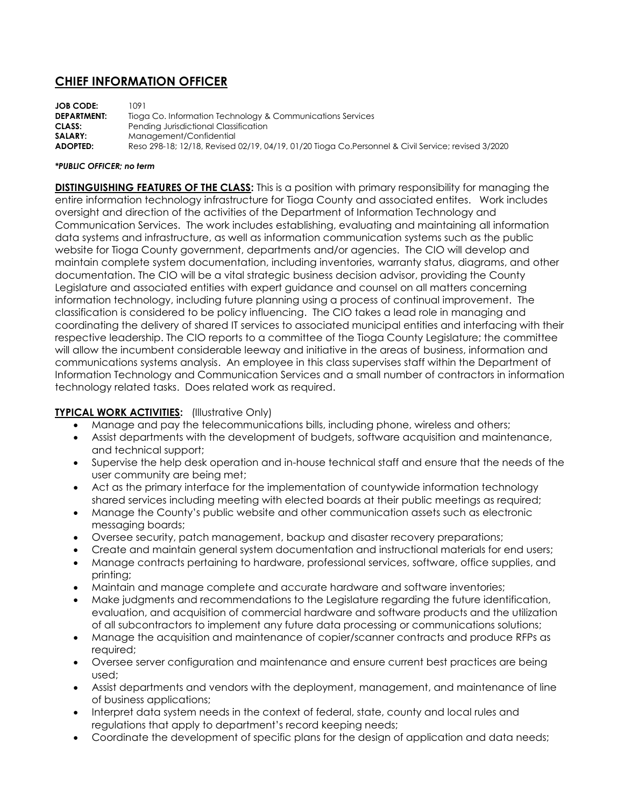## **CHIEF INFORMATION OFFICER**

**JOB CODE:** 1091 **DEPARTMENT:** Tioga Co. Information Technology & Communications Services **CLASS:** Pending Jurisdictional Classification **SALARY:** Management/Confidential **ADOPTED:** Reso 298-18; 12/18, Revised 02/19, 04/19, 01/20 Tioga Co.Personnel & Civil Service; revised 3/2020

## *\*PUBLIC OFFICER; no term*

**DISTINGUISHING FEATURES OF THE CLASS:** This is a position with primary responsibility for managing the entire information technology infrastructure for Tioga County and associated entites. Work includes oversight and direction of the activities of the Department of Information Technology and Communication Services. The work includes establishing, evaluating and maintaining all information data systems and infrastructure, as well as information communication systems such as the public website for Tioga County government, departments and/or agencies. The CIO will develop and maintain complete system documentation, including inventories, warranty status, diagrams, and other documentation. The CIO will be a vital strategic business decision advisor, providing the County Legislature and associated entities with expert guidance and counsel on all matters concerning information technology, including future planning using a process of continual improvement. The classification is considered to be policy influencing. The CIO takes a lead role in managing and coordinating the delivery of shared IT services to associated municipal entities and interfacing with their respective leadership. The CIO reports to a committee of the Tioga County Legislature; the committee will allow the incumbent considerable leeway and initiative in the areas of business, information and communications systems analysis. An employee in this class supervises staff within the Department of Information Technology and Communication Services and a small number of contractors in information technology related tasks. Does related work as required.

## **TYPICAL WORK ACTIVITIES:** (Illustrative Only)

- Manage and pay the telecommunications bills, including phone, wireless and others;
- Assist departments with the development of budgets, software acquisition and maintenance, and technical support;
- Supervise the help desk operation and in-house technical staff and ensure that the needs of the user community are being met;
- Act as the primary interface for the implementation of countywide information technology shared services including meeting with elected boards at their public meetings as required;
- Manage the County's public website and other communication assets such as electronic messaging boards;
- Oversee security, patch management, backup and disaster recovery preparations;
- Create and maintain general system documentation and instructional materials for end users;
- Manage contracts pertaining to hardware, professional services, software, office supplies, and printing;
- Maintain and manage complete and accurate hardware and software inventories;
- Make judgments and recommendations to the Legislature regarding the future identification, evaluation, and acquisition of commercial hardware and software products and the utilization of all subcontractors to implement any future data processing or communications solutions;
- Manage the acquisition and maintenance of copier/scanner contracts and produce RFPs as required;
- Oversee server configuration and maintenance and ensure current best practices are being used;
- Assist departments and vendors with the deployment, management, and maintenance of line of business applications;
- Interpret data system needs in the context of federal, state, county and local rules and regulations that apply to department's record keeping needs;
- Coordinate the development of specific plans for the design of application and data needs;